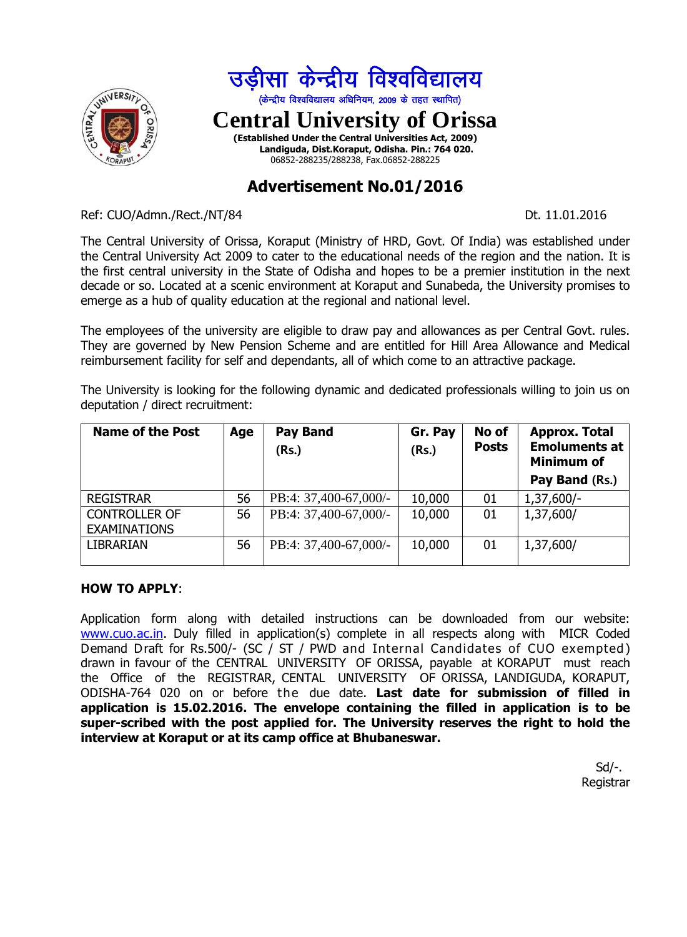

# **Advertisement No.01/2016**

Ref: CUO/Admn./Rect./NT/84 Dt. 11.01.2016

The Central University of Orissa, Koraput (Ministry of HRD, Govt. Of India) was established under the Central University Act 2009 to cater to the educational needs of the region and the nation. It is the first central university in the State of Odisha and hopes to be a premier institution in the next decade or so. Located at a scenic environment at Koraput and Sunabeda, the University promises to emerge as a hub of quality education at the regional and national level.

The employees of the university are eligible to draw pay and allowances as per Central Govt. rules. They are governed by New Pension Scheme and are entitled for Hill Area Allowance and Medical reimbursement facility for self and dependants, all of which come to an attractive package.

The University is looking for the following dynamic and dedicated professionals willing to join us on deputation / direct recruitment:

| <b>Name of the Post</b>                     | Age | <b>Pay Band</b><br>(Rs.) | Gr. Pay<br>(Rs.) | No of<br><b>Posts</b> | <b>Approx. Total</b><br><b>Emoluments at</b><br><b>Minimum of</b><br>Pay Band (Rs.) |
|---------------------------------------------|-----|--------------------------|------------------|-----------------------|-------------------------------------------------------------------------------------|
| <b>REGISTRAR</b>                            | 56  | PB:4: 37,400-67,000/-    | 10,000           | 01                    | $1,37,600/-$                                                                        |
| <b>CONTROLLER OF</b><br><b>EXAMINATIONS</b> | 56  | PB:4: 37,400-67,000/-    | 10,000           | 01                    | 1,37,600/                                                                           |
| <b>LIBRARIAN</b>                            | 56  | PB:4: 37,400-67,000/-    | 10,000           | 01                    | 1,37,600/                                                                           |

#### **HOW TO APPLY**:

Application form along with detailed instructions can be downloaded from our website: [www.cuo.ac.in.](http://www.cuo.ac.in/) Duly filled in application(s) complete in all respects along with MICR Coded Demand Draft for Rs.500/- (SC / ST / PWD and Internal Candidates of CUO exempted ) drawn in favour of the CENTRAL UNIVERSITY OF ORISSA, payable at KORAPUT must reach the Office of the REGISTRAR, CENTAL UNIVERSITY OF ORISSA, LANDIGUDA, KORAPUT, ODISHA-764 020 on or before the due date. **Last date for submission of filled in application is 15.02.2016. The envelope containing the filled in application is to be super-scribed with the post applied for. The University reserves the right to hold the interview at Koraput or at its camp office at Bhubaneswar.**

> Sd/-. Registrar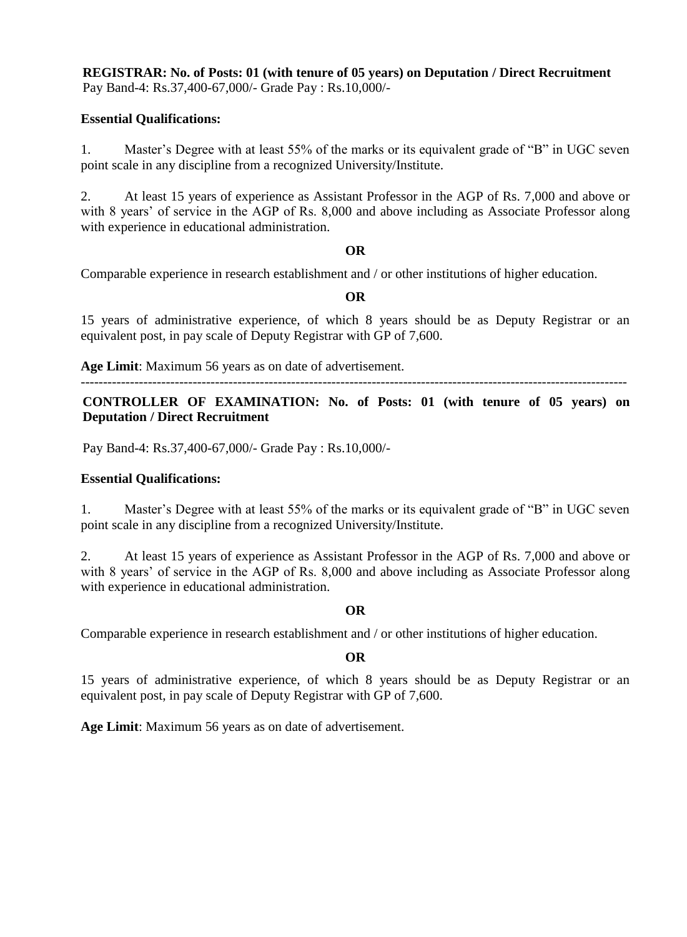### **REGISTRAR: No. of Posts: 01 (with tenure of 05 years) on Deputation / Direct Recruitment**  Pay Band-4: Rs.37,400-67,000/- Grade Pay : Rs.10,000/-

#### **Essential Qualifications:**

1. Master's Degree with at least 55% of the marks or its equivalent grade of "B" in UGC seven point scale in any discipline from a recognized University/Institute.

2. At least 15 years of experience as Assistant Professor in the AGP of Rs. 7,000 and above or with 8 years' of service in the AGP of Rs. 8,000 and above including as Associate Professor along with experience in educational administration.

#### **OR**

Comparable experience in research establishment and / or other institutions of higher education.

#### **OR**

15 years of administrative experience, of which 8 years should be as Deputy Registrar or an equivalent post, in pay scale of Deputy Registrar with GP of 7,600.

**Age Limit**: Maximum 56 years as on date of advertisement.

--------------------------------------------------------------------------------------------------------------------------

**CONTROLLER OF EXAMINATION: No. of Posts: 01 (with tenure of 05 years) on Deputation / Direct Recruitment**

Pay Band-4: Rs.37,400-67,000/- Grade Pay : Rs.10,000/-

## **Essential Qualifications:**

1. Master's Degree with at least 55% of the marks or its equivalent grade of "B" in UGC seven point scale in any discipline from a recognized University/Institute.

2. At least 15 years of experience as Assistant Professor in the AGP of Rs. 7,000 and above or with 8 years' of service in the AGP of Rs. 8,000 and above including as Associate Professor along with experience in educational administration.

#### **OR**

Comparable experience in research establishment and / or other institutions of higher education.

#### **OR**

15 years of administrative experience, of which 8 years should be as Deputy Registrar or an equivalent post, in pay scale of Deputy Registrar with GP of 7,600.

**Age Limit**: Maximum 56 years as on date of advertisement.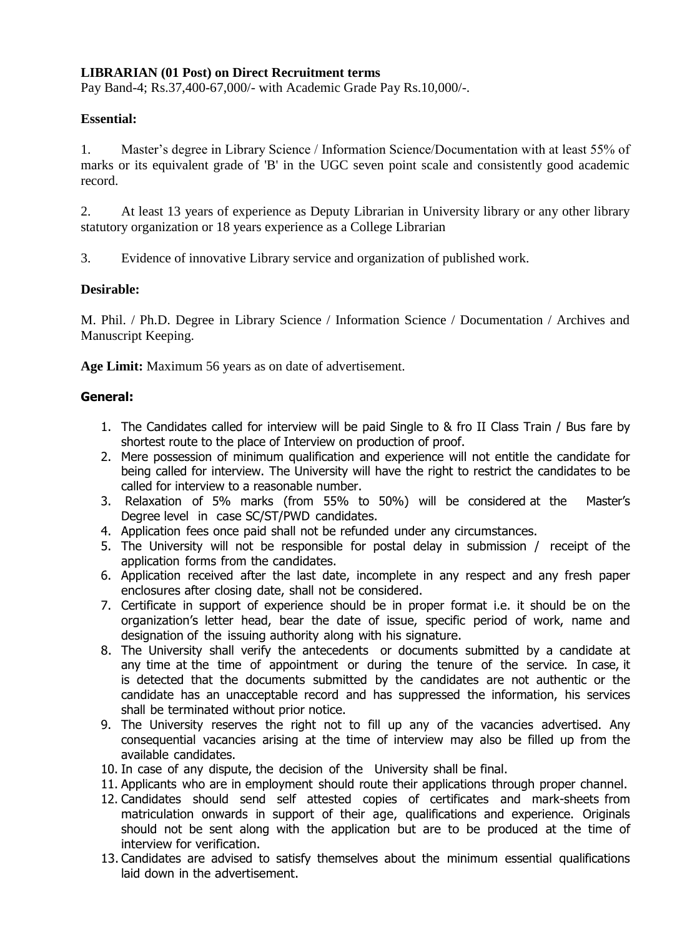## **LIBRARIAN (01 Post) on Direct Recruitment terms**

Pay Band-4; Rs.37,400-67,000/- with Academic Grade Pay Rs.10,000/-.

#### **Essential:**

1. Master's degree in Library Science / Information Science/Documentation with at least 55% of marks or its equivalent grade of 'B' in the UGC seven point scale and consistently good academic record.

2. At least 13 years of experience as Deputy Librarian in University library or any other library statutory organization or 18 years experience as a College Librarian

3. Evidence of innovative Library service and organization of published work.

#### **Desirable:**

M. Phil. / Ph.D. Degree in Library Science / Information Science / Documentation / Archives and Manuscript Keeping.

**Age Limit:** Maximum 56 years as on date of advertisement.

#### **General:**

- 1. The Candidates called for interview will be paid Single to & fro II Class Train / Bus fare by shortest route to the place of Interview on production of proof.
- 2. Mere possession of minimum qualification and experience will not entitle the candidate for being called for interview. The University will have the right to restrict the candidates to be called for interview to a reasonable number.
- 3. Relaxation of 5% marks (from 55% to 50%) will be considered at the Master's Degree level in case SC/ST/PWD candidates.
- 4. Application fees once paid shall not be refunded under any circumstances.
- 5. The University will not be responsible for postal delay in submission / receipt of the application forms from the candidates.
- 6. Application received after the last date, incomplete in any respect and any fresh paper enclosures after closing date, shall not be considered.
- 7. Certificate in support of experience should be in proper format i.e. it should be on the organization's letter head, bear the date of issue, specific period of work, name and designation of the issuing authority along with his signature.
- 8. The University shall verify the antecedents or documents submitted by a candidate at any time at the time of appointment or during the tenure of the service. In case, it is detected that the documents submitted by the candidates are not authentic or the candidate has an unacceptable record and has suppressed the information, his services shall be terminated without prior notice.
- 9. The University reserves the right not to fill up any of the vacancies advertised. Any consequential vacancies arising at the time of interview may also be filled up from the available candidates.
- 10. In case of any dispute, the decision of the University shall be final.
- 11. Applicants who are in employment should route their applications through proper channel.
- 12. Candidates should send self attested copies of certificates and mark-sheets from matriculation onwards in support of their age, qualifications and experience. Originals should not be sent along with the application but are to be produced at the time of interview for verification.
- 13. Candidates are advised to satisfy themselves about the minimum essential qualifications laid down in the advertisement.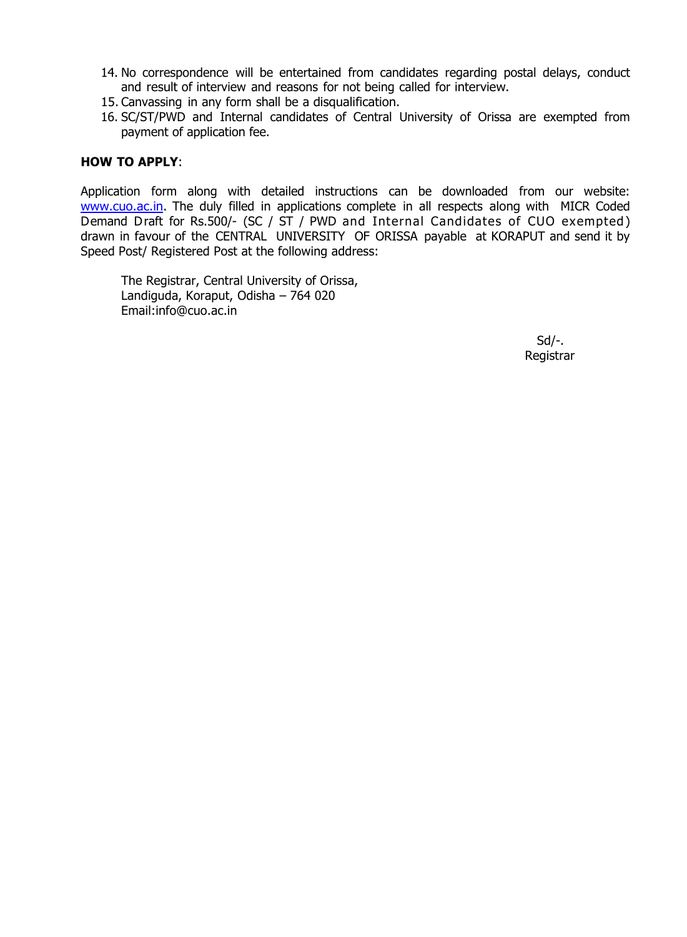- 14. No correspondence will be entertained from candidates regarding postal delays, conduct and result of interview and reasons for not being called for interview.
- 15. Canvassing in any form shall be a disqualification.
- 16. SC/ST/PWD and Internal candidates of Central University of Orissa are exempted from payment of application fee.

#### **HOW TO APPLY**:

Application form along with detailed instructions can be downloaded from our website: [www.cuo.ac.in.](http://www.cuo.ac.in/) The duly filled in applications complete in all respects along with MICR Coded Demand Draft for Rs.500/- (SC / ST / PWD and Internal Candidates of CUO exempted) drawn in favour of the CENTRAL UNIVERSITY OF ORISSA payable at KORAPUT and send it by Speed Post/ Registered Post at the following address:

The Registrar, Central University of Orissa, Landiguda, Koraput, Odisha – 764 020 Email:info@cuo.ac.in

> Sd/-. Registrar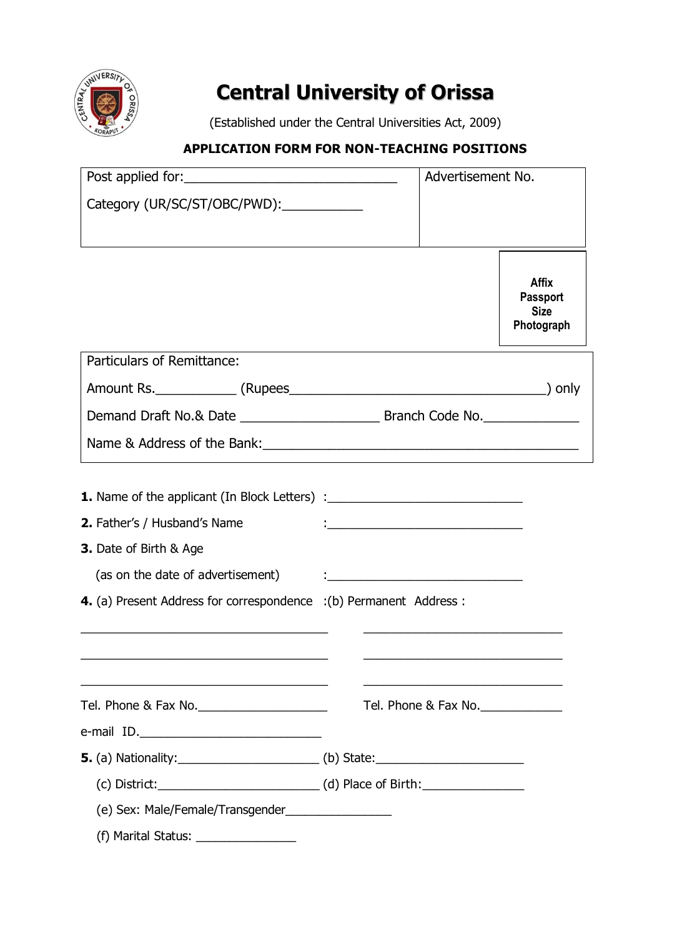

# **Central University of Orissa**

(Established under the Central Universities Act, 2009)

# **APPLICATION FORM FOR NON-TEACHING POSITIONS**

|                                                                                                                                                                                                                                | Advertisement No.                            |                      |                                                              |  |  |  |
|--------------------------------------------------------------------------------------------------------------------------------------------------------------------------------------------------------------------------------|----------------------------------------------|----------------------|--------------------------------------------------------------|--|--|--|
| Category (UR/SC/ST/OBC/PWD): ___________                                                                                                                                                                                       |                                              |                      |                                                              |  |  |  |
|                                                                                                                                                                                                                                |                                              |                      | <b>Affix</b><br><b>Passport</b><br><b>Size</b><br>Photograph |  |  |  |
| Particulars of Remittance:                                                                                                                                                                                                     |                                              |                      |                                                              |  |  |  |
|                                                                                                                                                                                                                                |                                              |                      |                                                              |  |  |  |
|                                                                                                                                                                                                                                |                                              |                      |                                                              |  |  |  |
|                                                                                                                                                                                                                                |                                              |                      |                                                              |  |  |  |
| <b>1.</b> Name of the applicant (In Block Letters) :__________________________________<br>2. Father's / Husband's Name<br><b>3.</b> Date of Birth & Age<br>4. (a) Present Address for correspondence : (b) Permanent Address : | <u> 1999 - Johann John Stein, markin san</u> |                      |                                                              |  |  |  |
|                                                                                                                                                                                                                                |                                              | Tel. Phone & Fax No. |                                                              |  |  |  |
|                                                                                                                                                                                                                                |                                              |                      |                                                              |  |  |  |
|                                                                                                                                                                                                                                |                                              |                      |                                                              |  |  |  |
|                                                                                                                                                                                                                                |                                              |                      |                                                              |  |  |  |
| (f) Marital Status:<br><u> 1989 - Andrea Station Barbara, amerikan personal di sebagai personal di sebagai personal di sebagai personal </u>                                                                                   |                                              |                      |                                                              |  |  |  |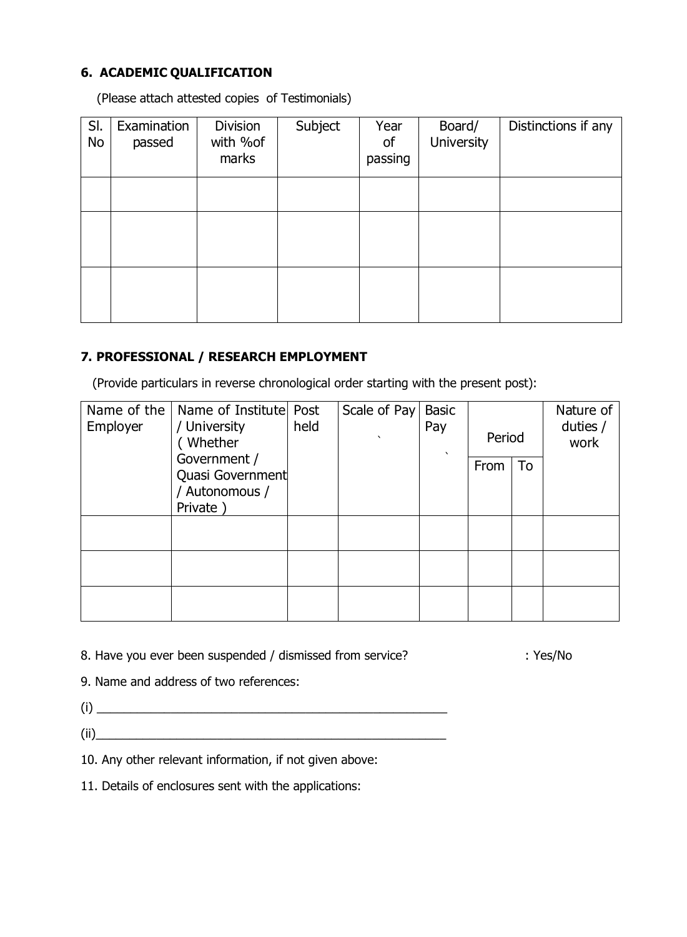# **6. ACADEMIC QUALIFICATION**

(Please attach attested copies of Testimonials)

| SI.<br>No | Examination<br>passed | <b>Division</b><br>with %of<br>marks | Subject | Year<br>of<br>passing | Board/<br><b>University</b> | Distinctions if any |
|-----------|-----------------------|--------------------------------------|---------|-----------------------|-----------------------------|---------------------|
|           |                       |                                      |         |                       |                             |                     |
|           |                       |                                      |         |                       |                             |                     |
|           |                       |                                      |         |                       |                             |                     |
|           |                       |                                      |         |                       |                             |                     |

# **7. PROFESSIONAL / RESEARCH EMPLOYMENT**

(Provide particulars in reverse chronological order starting with the present post):

| Name of the<br>Employer | Name of Institute Post<br>/ University<br>Whether             | held | Scale of Pay | <b>Basic</b><br>Pay<br>$\lambda$ | Period |    | Nature of<br>duties /<br>work |
|-------------------------|---------------------------------------------------------------|------|--------------|----------------------------------|--------|----|-------------------------------|
|                         | Government /<br>Quasi Government<br>/ Autonomous /<br>Private |      |              |                                  | From   | To |                               |
|                         |                                                               |      |              |                                  |        |    |                               |
|                         |                                                               |      |              |                                  |        |    |                               |
|                         |                                                               |      |              |                                  |        |    |                               |

8. Have you ever been suspended / dismissed from service? : Yes/No

9. Name and address of two references:

(i) \_\_\_\_\_\_\_\_\_\_\_\_\_\_\_\_\_\_\_\_\_\_\_\_\_\_\_\_\_\_\_\_\_\_\_\_\_\_\_\_\_\_\_\_\_\_\_\_\_\_\_\_  $(ii)$ 

10. Any other relevant information, if not given above:

11. Details of enclosures sent with the applications: